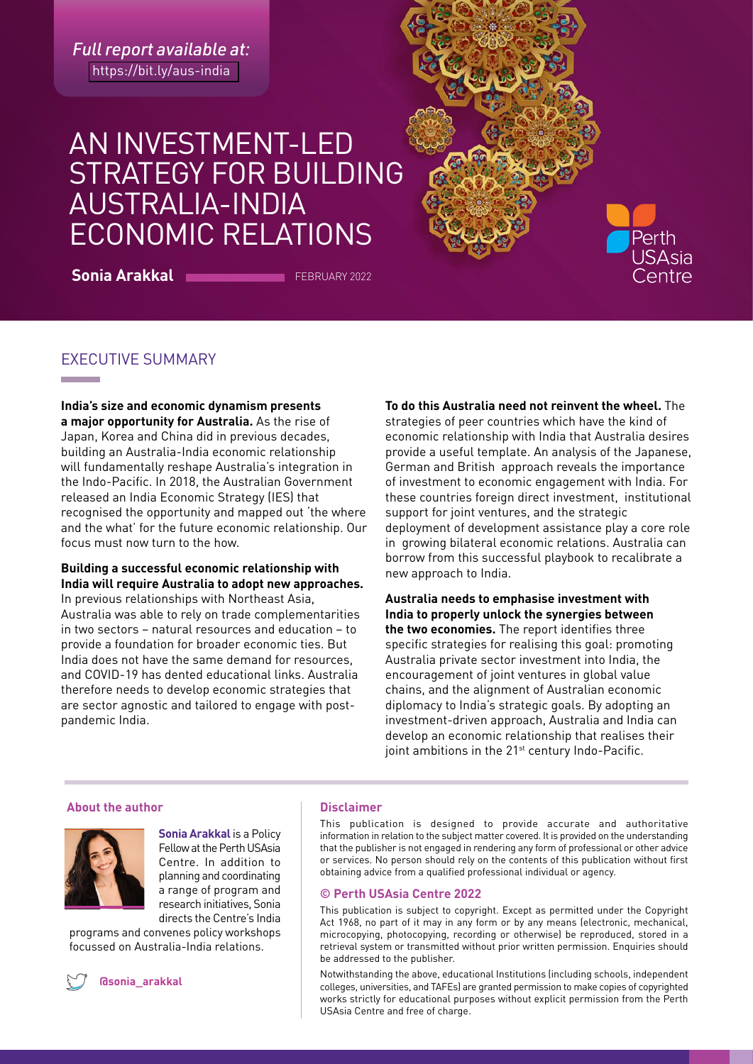*Full report available at:*  <https://bit.ly/aus-india>

# AN INVESTMENT-LED STRATEGY FOR BUILDING AUSTRALIA-INDIA ECONOMIC RELATIONS

**Sonia Arakkal FEBRUARY 2022** 

## EXECUTIVE SUMMARY

**India's size and economic dynamism presents a major opportunity for Australia.** As the rise of Japan, Korea and China did in previous decades, building an Australia-India economic relationship will fundamentally reshape Australia's integration in the Indo-Pacific. In 2018, the Australian Government released an India Economic Strategy (IES) that recognised the opportunity and mapped out 'the where and the what' for the future economic relationship. Our focus must now turn to the how.

### **Building a successful economic relationship with India will require Australia to adopt new approaches.**

In previous relationships with Northeast Asia, Australia was able to rely on trade complementarities in two sectors – natural resources and education – to provide a foundation for broader economic ties. But India does not have the same demand for resources, and COVID-19 has dented educational links. Australia therefore needs to develop economic strategies that are sector agnostic and tailored to engage with postpandemic India.

**To do this Australia need not reinvent the wheel.** The strategies of peer countries which have the kind of economic relationship with India that Australia desires provide a useful template. An analysis of the Japanese, German and British approach reveals the importance of investment to economic engagement with India. For these countries foreign direct investment, institutional support for joint ventures, and the strategic deployment of development assistance play a core role in growing bilateral economic relations. Australia can borrow from this successful playbook to recalibrate a new approach to India.

Perth **JSAsia entre** 

**Australia needs to emphasise investment with India to properly unlock the synergies between the two economies.** The report identifies three specific strategies for realising this goal: promoting Australia private sector investment into India, the encouragement of joint ventures in global value chains, and the alignment of Australian economic diplomacy to India's strategic goals. By adopting an investment-driven approach, Australia and India can develop an economic relationship that realises their joint ambitions in the 21<sup>st</sup> century Indo-Pacific.

#### **About the author and all controls are all controls and all controls are all controls and all controls are all controls and all controls are all controls and all controls are all controls and controls are all controls are**



**Sonia Arakkal** is a Policy Fellow at the Perth USAsia Centre. In addition to planning and coordinating a range of program and research initiatives, Sonia directs the Centre's India

programs and convenes policy workshops focussed on Australia-India relations.



**[@sonia\\_arakkal](http://twitter.com/@sonia_arakkal)**

This publication is designed to provide accurate and authoritative information in relation to the subject matter covered. It is provided on the understanding that the publisher is not engaged in rendering any form of professional or other advice or services. No person should rely on the contents of this publication without first obtaining advice from a qualified professional individual or agency.

#### **© Perth USAsia Centre 2022**

This publication is subject to copyright. Except as permitted under the Copyright Act 1968, no part of it may in any form or by any means (electronic, mechanical, microcopying, photocopying, recording or otherwise) be reproduced, stored in a retrieval system or transmitted without prior written permission. Enquiries should be addressed to the publisher.

Notwithstanding the above, educational Institutions (including schools, independent colleges, universities, and TAFEs) are granted permission to make copies of copyrighted works strictly for educational purposes without explicit permission from the Perth USAsia Centre and free of charge.